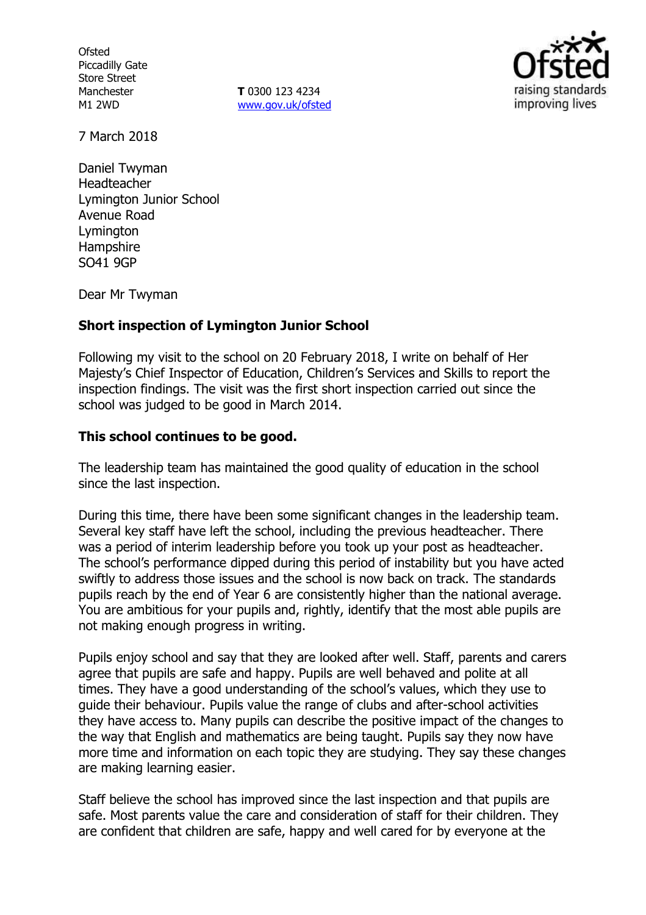**Ofsted** Piccadilly Gate Store Street Manchester M1 2WD

**T** 0300 123 4234 www.gov.uk/ofsted



7 March 2018

Daniel Twyman Headteacher Lymington Junior School Avenue Road Lymington **Hampshire** SO41 9GP

Dear Mr Twyman

### **Short inspection of Lymington Junior School**

Following my visit to the school on 20 February 2018, I write on behalf of Her Majesty's Chief Inspector of Education, Children's Services and Skills to report the inspection findings. The visit was the first short inspection carried out since the school was judged to be good in March 2014.

### **This school continues to be good.**

The leadership team has maintained the good quality of education in the school since the last inspection.

During this time, there have been some significant changes in the leadership team. Several key staff have left the school, including the previous headteacher. There was a period of interim leadership before you took up your post as headteacher. The school's performance dipped during this period of instability but you have acted swiftly to address those issues and the school is now back on track. The standards pupils reach by the end of Year 6 are consistently higher than the national average. You are ambitious for your pupils and, rightly, identify that the most able pupils are not making enough progress in writing.

Pupils enjoy school and say that they are looked after well. Staff, parents and carers agree that pupils are safe and happy. Pupils are well behaved and polite at all times. They have a good understanding of the school's values, which they use to guide their behaviour. Pupils value the range of clubs and after-school activities they have access to. Many pupils can describe the positive impact of the changes to the way that English and mathematics are being taught. Pupils say they now have more time and information on each topic they are studying. They say these changes are making learning easier.

Staff believe the school has improved since the last inspection and that pupils are safe. Most parents value the care and consideration of staff for their children. They are confident that children are safe, happy and well cared for by everyone at the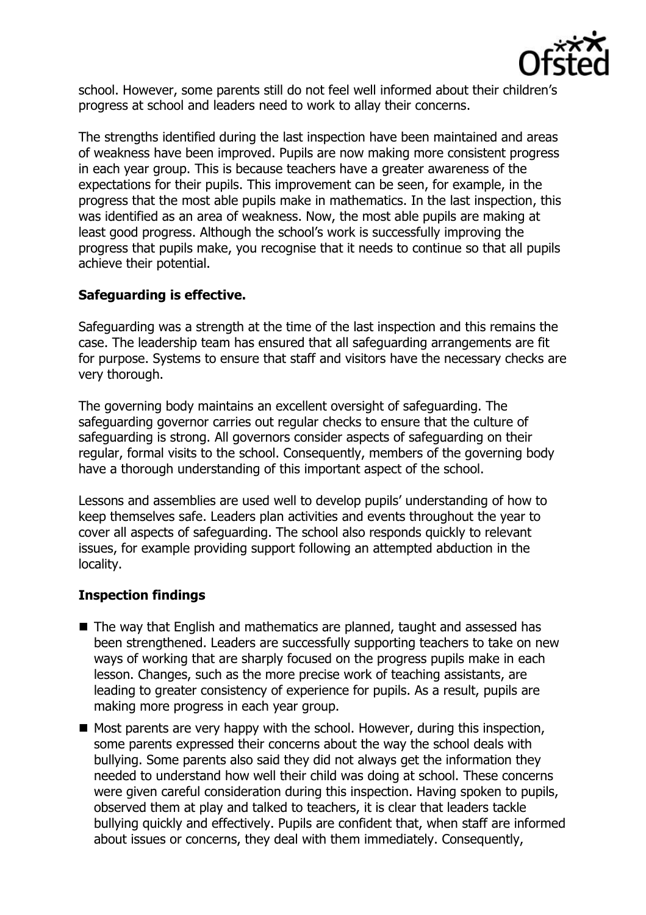

school. However, some parents still do not feel well informed about their children's progress at school and leaders need to work to allay their concerns.

The strengths identified during the last inspection have been maintained and areas of weakness have been improved. Pupils are now making more consistent progress in each year group. This is because teachers have a greater awareness of the expectations for their pupils. This improvement can be seen, for example, in the progress that the most able pupils make in mathematics. In the last inspection, this was identified as an area of weakness. Now, the most able pupils are making at least good progress. Although the school's work is successfully improving the progress that pupils make, you recognise that it needs to continue so that all pupils achieve their potential.

### **Safeguarding is effective.**

Safeguarding was a strength at the time of the last inspection and this remains the case. The leadership team has ensured that all safeguarding arrangements are fit for purpose. Systems to ensure that staff and visitors have the necessary checks are very thorough.

The governing body maintains an excellent oversight of safeguarding. The safeguarding governor carries out regular checks to ensure that the culture of safeguarding is strong. All governors consider aspects of safeguarding on their regular, formal visits to the school. Consequently, members of the governing body have a thorough understanding of this important aspect of the school.

Lessons and assemblies are used well to develop pupils' understanding of how to keep themselves safe. Leaders plan activities and events throughout the year to cover all aspects of safeguarding. The school also responds quickly to relevant issues, for example providing support following an attempted abduction in the locality.

# **Inspection findings**

- The way that English and mathematics are planned, taught and assessed has been strengthened. Leaders are successfully supporting teachers to take on new ways of working that are sharply focused on the progress pupils make in each lesson. Changes, such as the more precise work of teaching assistants, are leading to greater consistency of experience for pupils. As a result, pupils are making more progress in each year group.
- $\blacksquare$  Most parents are very happy with the school. However, during this inspection, some parents expressed their concerns about the way the school deals with bullying. Some parents also said they did not always get the information they needed to understand how well their child was doing at school. These concerns were given careful consideration during this inspection. Having spoken to pupils, observed them at play and talked to teachers, it is clear that leaders tackle bullying quickly and effectively. Pupils are confident that, when staff are informed about issues or concerns, they deal with them immediately. Consequently,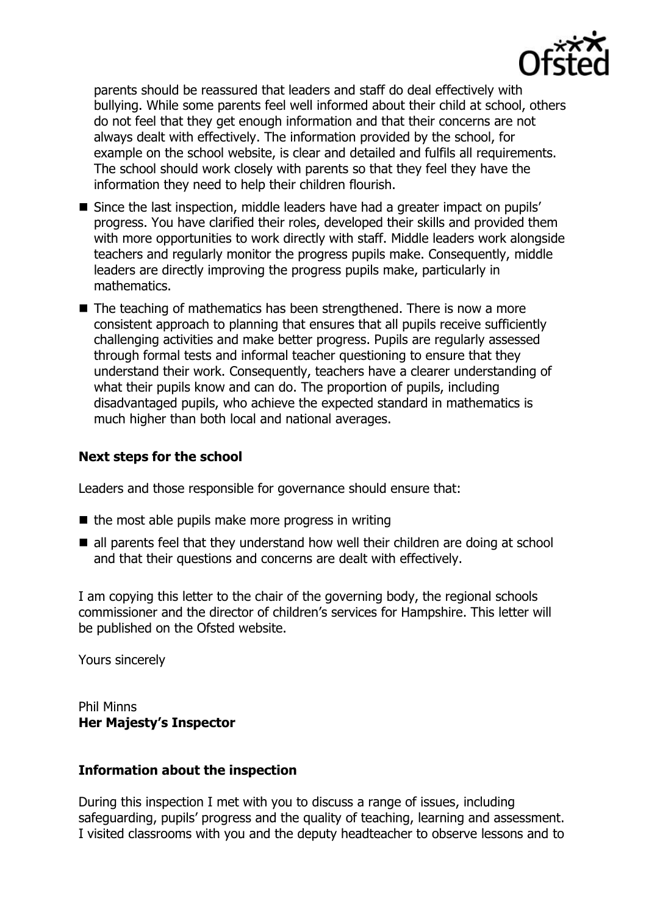

parents should be reassured that leaders and staff do deal effectively with bullying. While some parents feel well informed about their child at school, others do not feel that they get enough information and that their concerns are not always dealt with effectively. The information provided by the school, for example on the school website, is clear and detailed and fulfils all requirements. The school should work closely with parents so that they feel they have the information they need to help their children flourish.

- Since the last inspection, middle leaders have had a greater impact on pupils' progress. You have clarified their roles, developed their skills and provided them with more opportunities to work directly with staff. Middle leaders work alongside teachers and regularly monitor the progress pupils make. Consequently, middle leaders are directly improving the progress pupils make, particularly in mathematics.
- $\blacksquare$  The teaching of mathematics has been strengthened. There is now a more consistent approach to planning that ensures that all pupils receive sufficiently challenging activities and make better progress. Pupils are regularly assessed through formal tests and informal teacher questioning to ensure that they understand their work. Consequently, teachers have a clearer understanding of what their pupils know and can do. The proportion of pupils, including disadvantaged pupils, who achieve the expected standard in mathematics is much higher than both local and national averages.

## **Next steps for the school**

Leaders and those responsible for governance should ensure that:

- $\blacksquare$  the most able pupils make more progress in writing
- all parents feel that they understand how well their children are doing at school and that their questions and concerns are dealt with effectively.

I am copying this letter to the chair of the governing body, the regional schools commissioner and the director of children's services for Hampshire. This letter will be published on the Ofsted website.

Yours sincerely

Phil Minns **Her Majesty's Inspector**

### **Information about the inspection**

During this inspection I met with you to discuss a range of issues, including safeguarding, pupils' progress and the quality of teaching, learning and assessment. I visited classrooms with you and the deputy headteacher to observe lessons and to